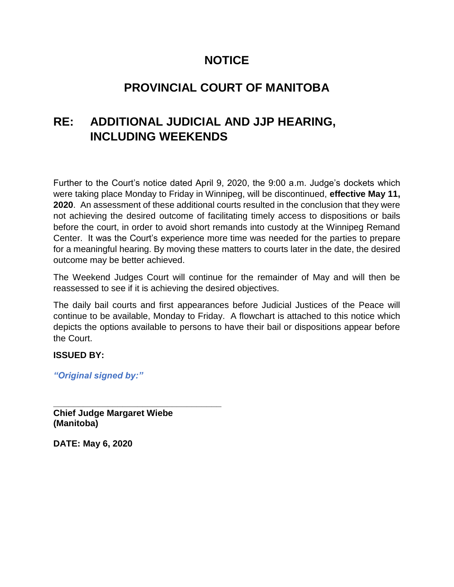## **NOTICE**

## **PROVINCIAL COURT OF MANITOBA**

## **RE: ADDITIONAL JUDICIAL AND JJP HEARING, INCLUDING WEEKENDS**

Further to the Court's notice dated April 9, 2020, the 9:00 a.m. Judge's dockets which were taking place Monday to Friday in Winnipeg, will be discontinued, **effective May 11, 2020**. An assessment of these additional courts resulted in the conclusion that they were not achieving the desired outcome of facilitating timely access to dispositions or bails before the court, in order to avoid short remands into custody at the Winnipeg Remand Center. It was the Court's experience more time was needed for the parties to prepare for a meaningful hearing. By moving these matters to courts later in the date, the desired outcome may be better achieved.

The Weekend Judges Court will continue for the remainder of May and will then be reassessed to see if it is achieving the desired objectives.

The daily bail courts and first appearances before Judicial Justices of the Peace will continue to be available, Monday to Friday. A flowchart is attached to this notice which depicts the options available to persons to have their bail or dispositions appear before the Court.

## **ISSUED BY:**

*"Original signed by:"*

**\_\_\_\_\_\_\_\_\_\_\_\_\_\_\_\_\_\_\_\_\_\_\_\_\_\_\_\_\_\_\_\_\_\_ Chief Judge Margaret Wiebe (Manitoba)**

**DATE: May 6, 2020**